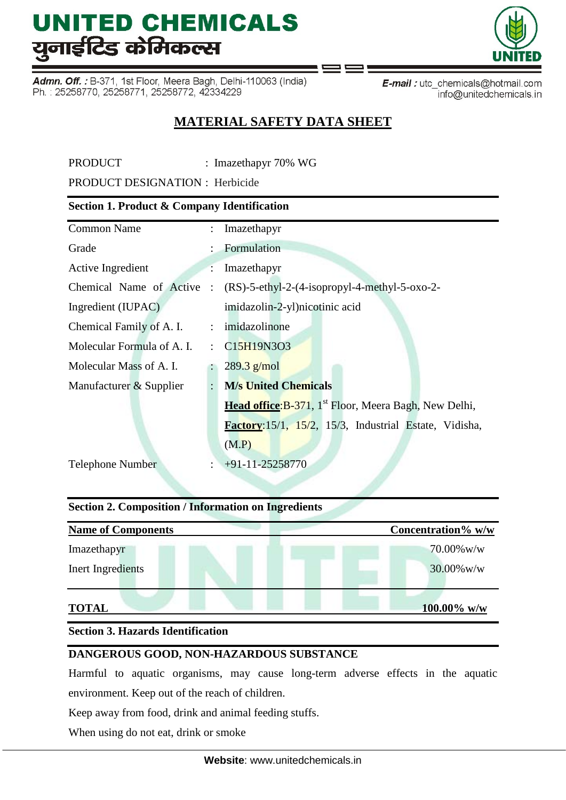Admn. Off.: B-371, 1st Floor, Meera Bagh, Delhi-110063 (India) Ph.: 25258770, 25258771, 25258772, 42334229

E-mail: utc\_chemicals@hotmail.com info@unitedchemicals.in

# **MATERIAL SAFETY DATA SHEET**

PRODUCT : Imazethapyr 70% WG

PRODUCT DESIGNATION : Herbicide

# **Section 1. Product & Company Identification**

| <b>Common Name</b>         | $\ddot{\phantom{a}}$ | Imazethapyr                                                       |
|----------------------------|----------------------|-------------------------------------------------------------------|
| Grade                      |                      | : Formulation                                                     |
| Active Ingredient          |                      | Imazethapyr                                                       |
| Chemical Name of Active    |                      | $(RS)$ -5-ethyl-2-(4-isopropyl-4-methyl-5-oxo-2-                  |
| Ingredient (IUPAC)         |                      | imidazolin-2-yl)nicotinic acid                                    |
| Chemical Family of A. I.   |                      | : imidazolinone                                                   |
| Molecular Formula of A. I. |                      | : $C15H19N3O3$                                                    |
| Molecular Mass of A. I.    |                      | $289.3$ g/mol                                                     |
| Manufacturer & Supplier    | $\ddot{\cdot}$       | <b>M/s United Chemicals</b>                                       |
|                            |                      | Head office: B-371, 1 <sup>st</sup> Floor, Meera Bagh, New Delhi, |
|                            |                      | Factory: 15/1, 15/2, 15/3, Industrial Estate, Vidisha,            |
|                            |                      | (M.P)                                                             |
| <b>Telephone Number</b>    |                      | $+91-11-25258770$                                                 |
|                            |                      |                                                                   |

# **Section 2. Composition / Information on Ingredients**

| <b>Name of Components</b> | Concentration% w/w |
|---------------------------|--------------------|
| Imazethapyr               | $70.00\%$ w/w      |
| Inert Ingredients         | $30.00\%$ w/w      |
| <b>TOTAL</b>              | 100.00% w/w        |

# **Section 3. Hazards Identification**

# **DANGEROUS GOOD, NON-HAZARDOUS SUBSTANCE**

Harmful to aquatic organisms, may cause long-term adverse effects in the aquatic environment. Keep out of the reach of children.

Keep away from food, drink and animal feeding stuffs.

When using do not eat, drink or smoke

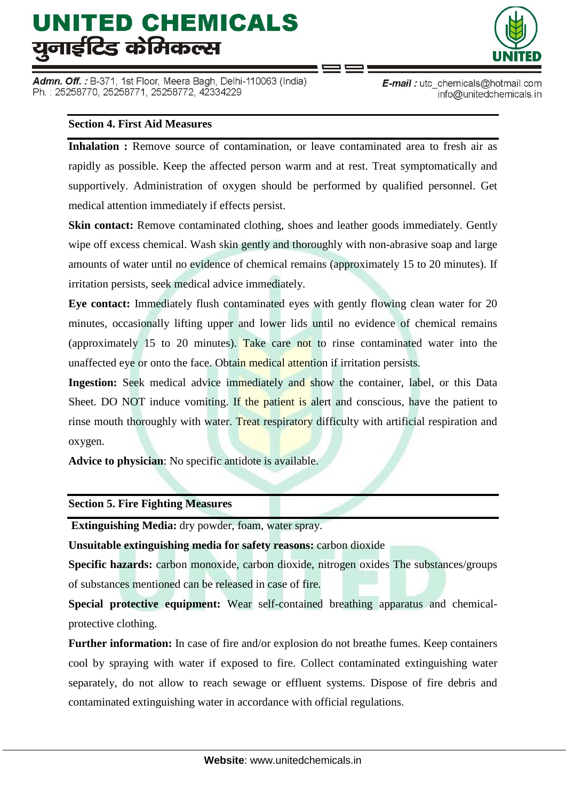Admn. Off. : B-371, 1st Floor, Meera Bagh, Delhi-110063 (India) Ph.: 25258770, 25258771, 25258772, 42334229



E-mail: utc\_chemicals@hotmail.com info@unitedchemicals.in

### **Section 4. First Aid Measures**

**Inhalation :** Remove source of contamination, or leave contaminated area to fresh air as rapidly as possible. Keep the affected person warm and at rest. Treat symptomatically and supportively. Administration of oxygen should be performed by qualified personnel. Get medical attention immediately if effects persist.

**Skin contact:** Remove contaminated clothing, shoes and leather goods immediately. Gently wipe off excess chemical. Wash skin gently and thoroughly with non-abrasive soap and large amounts of water until no evidence of chemical remains (approximately 15 to 20 minutes). If irritation persists, seek medical advice immediately.

**Eye contact:** Immediately flush contaminated eyes with gently flowing clean water for 20 minutes, occasionally lifting upper and lower lids until no evidence of chemical remains (approximately 15 to 20 minutes). Take care not to rinse contaminated water into the unaffected eye or onto the face. Obtain medical attention if irritation persists.

**Ingestion:** Seek medical advice immediately and show the container, label, or this Data Sheet. DO NOT induce vomiting. If the patient is alert and conscious, have the patient to rinse mouth thoroughly with water. Treat respiratory difficulty with artificial respiration and oxygen.

**Advice to physician**: No specific antidote is available.

**Section 5. Fire Fighting Measures**

**Extinguishing Media:** dry powder, foam, water spray.

**Unsuitable extinguishing media for safety reasons:** carbon dioxide

**Specific hazards:** carbon monoxide, carbon dioxide, nitrogen oxides The substances/groups of substances mentioned can be released in case of fire.

**Special protective equipment:** Wear self-contained breathing apparatus and chemicalprotective clothing.

Further information: In case of fire and/or explosion do not breathe fumes. Keep containers cool by spraying with water if exposed to fire. Collect contaminated extinguishing water separately, do not allow to reach sewage or effluent systems. Dispose of fire debris and contaminated extinguishing water in accordance with official regulations.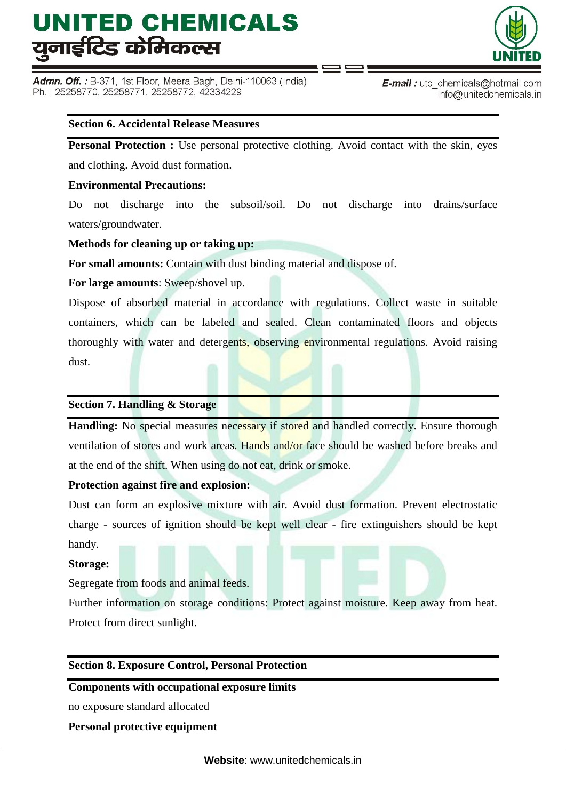Admn. Off.: B-371, 1st Floor, Meera Bagh, Delhi-110063 (India) Ph.: 25258770, 25258771, 25258772, 42334229



**E-mail**: utc chemicals@hotmail.com info@unitedchemicals.in

# **Section 6. Accidental Release Measures**

**Personal Protection :** Use personal protective clothing. Avoid contact with the skin, eyes and clothing. Avoid dust formation.

### **Environmental Precautions:**

Do not discharge into the subsoil/soil. Do not discharge into drains/surface waters/groundwater.

### **Methods for cleaning up or taking up:**

**For small amounts:** Contain with dust binding material and dispose of.

**For large amounts**: Sweep/shovel up.

Dispose of absorbed material in accordance with regulations. Collect waste in suitable containers, which can be labeled and sealed. Clean contaminated floors and objects thoroughly with water and detergents, observing environmental regulations. Avoid raising dust.

#### **Section 7. Handling & Storage**

Handling: No special measures necessary if stored and handled correctly. Ensure thorough ventilation of stores and work areas. Hands and/or face should be washed before breaks and at the end of the shift. When using do not eat, drink or smoke.

# **Protection against fire and explosion:**

Dust can form an explosive mixture with air. Avoid dust formation. Prevent electrostatic charge - sources of ignition should be kept well clear - fire extinguishers should be kept handy.

#### **Storage:**

Segregate from foods and animal feeds.

Further information on storage conditions: Protect against moisture. Keep away from heat. Protect from direct sunlight.

# **Section 8. Exposure Control, Personal Protection**

#### **Components with occupational exposure limits**

no exposure standard allocated

**Personal protective equipment**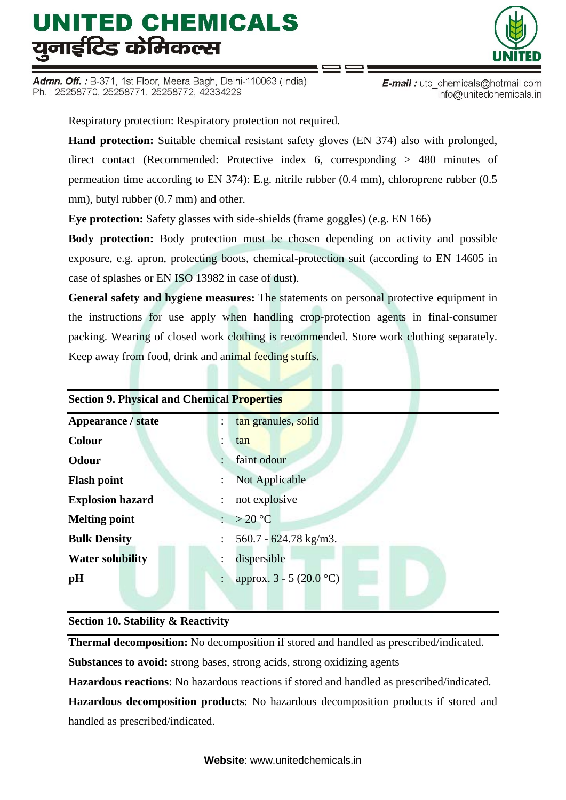Admn. Off. : B-371, 1st Floor, Meera Bagh, Delhi-110063 (India) Ph.: 25258770, 25258771, 25258772, 42334229



E-mail: utc\_chemicals@hotmail.com info@unitedchemicals.in

Respiratory protection: Respiratory protection not required.

**Hand protection:** Suitable chemical resistant safety gloves (EN 374) also with prolonged, direct contact (Recommended: Protective index 6, corresponding > 480 minutes of permeation time according to EN 374): E.g. nitrile rubber (0.4 mm), chloroprene rubber (0.5 mm), butyl rubber (0.7 mm) and other.

**Eye protection:** Safety glasses with side-shields (frame goggles) (e.g. EN 166)

**Body protection:** Body protection must be chosen depending on activity and possible exposure, e.g. apron, protecting boots, chemical-protection suit (according to EN 14605 in case of splashes or EN ISO 13982 in case of dust).

**General safety and hygiene measures:** The statements on personal protective equipment in the instructions for use apply when handling crop-protection agents in final-consumer packing. Wearing of closed work clothing is recommended. Store work clothing separately. Keep away from food, drink and animal feeding stuffs.

| <b>Section 9. Physical and Chemical Properties</b> |                                                   |  |  |  |
|----------------------------------------------------|---------------------------------------------------|--|--|--|
| Appearance / state                                 | tan granules, solid<br>$\ddot{\phantom{a}}$       |  |  |  |
| <b>Colour</b>                                      | tan                                               |  |  |  |
| <b>Odour</b>                                       | faint odour                                       |  |  |  |
| <b>Flash point</b>                                 | Not Applicable<br>÷                               |  |  |  |
| <b>Explosion hazard</b>                            | not explosive                                     |  |  |  |
| <b>Melting point</b>                               | $>20^{\circ}C$                                    |  |  |  |
| <b>Bulk Density</b>                                | $560.7 - 624.78$ kg/m3.                           |  |  |  |
| <b>Water solubility</b>                            | dispersible<br>÷                                  |  |  |  |
| pH                                                 | approx. $3 - 5 (20.0 °C)$<br>$\ddot{\phantom{a}}$ |  |  |  |
|                                                    |                                                   |  |  |  |

# **Section 10. Stability & Reactivity**

**Thermal decomposition:** No decomposition if stored and handled as prescribed/indicated.

**Substances to avoid:** strong bases, strong acids, strong oxidizing agents

**Hazardous reactions**: No hazardous reactions if stored and handled as prescribed/indicated.

**Hazardous decomposition products**: No hazardous decomposition products if stored and handled as prescribed/indicated.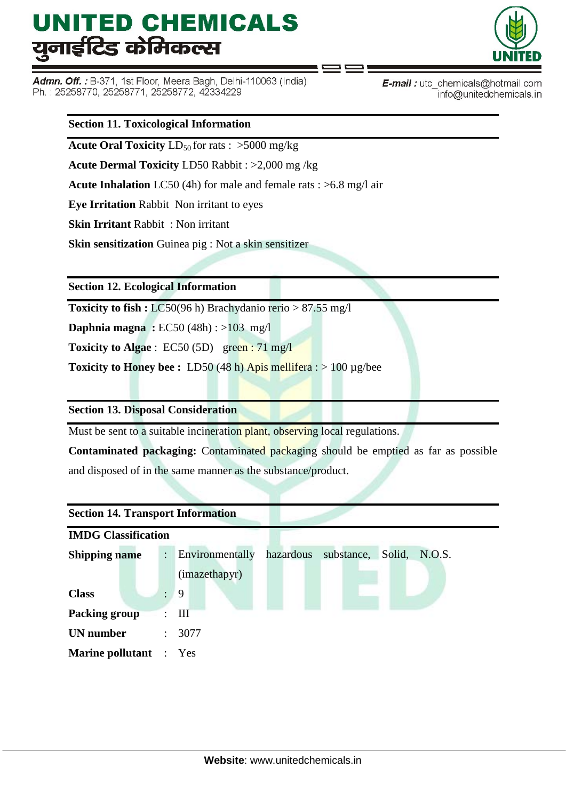Admn. Off.: B-371, 1st Floor, Meera Bagh, Delhi-110063 (India) Ph.: 25258770, 25258771, 25258772, 42334229



E-mail: utc\_chemicals@hotmail.com info@unitedchemicals.in

#### **Section 11. Toxicological Information**

**Acute Oral Toxicity**  $LD_{50}$  for rats :  $>5000$  mg/kg

**Acute Dermal Toxicity** LD50 Rabbit : >2,000 mg /kg

**Acute Inhalation** LC50 (4h) for male and female rats : >6.8 mg/l air

**Eye Irritation** Rabbit Non irritant to eyes

**Skin Irritant** Rabbit : Non irritant

**Skin sensitization** Guinea pig : Not a skin sensitizer

**Section 12. Ecological Information**

**Toxicity to fish :** LC50(96 h) Brachydanio rerio > 87.55 mg/l

**Daphnia magna :** EC50 (48h) : >103 mg/l

**Toxicity to Algae** : EC50 (5D) green : 71 mg/l

**Toxicity to Honey bee :** LD50 (48 h) Apis mellifera : > 100 µg/bee

**Section 13. Disposal Consideration**

Must be sent to a suitable incineration plant, observing local regulations.

**Contaminated packaging:** Contaminated packaging should be emptied as far as possible and disposed of in the same manner as the substance/product.

| <b>Section 14. Transport Information</b> |                      |                                                             |  |  |  |  |  |
|------------------------------------------|----------------------|-------------------------------------------------------------|--|--|--|--|--|
| <b>IMDG Classification</b>               |                      |                                                             |  |  |  |  |  |
| <b>Shipping name</b>                     | $\ddot{\phantom{0}}$ | hazardous<br>Environmentally<br>substance, Solid,<br>N.O.S. |  |  |  |  |  |
|                                          |                      | (imazethapyr)                                               |  |  |  |  |  |
| <b>Class</b>                             |                      | 9                                                           |  |  |  |  |  |
| <b>Packing group</b>                     |                      | III                                                         |  |  |  |  |  |
| <b>UN</b> number                         | $\ddot{\phantom{0}}$ | 3077                                                        |  |  |  |  |  |
| <b>Marine pollutant</b> : Yes            |                      |                                                             |  |  |  |  |  |